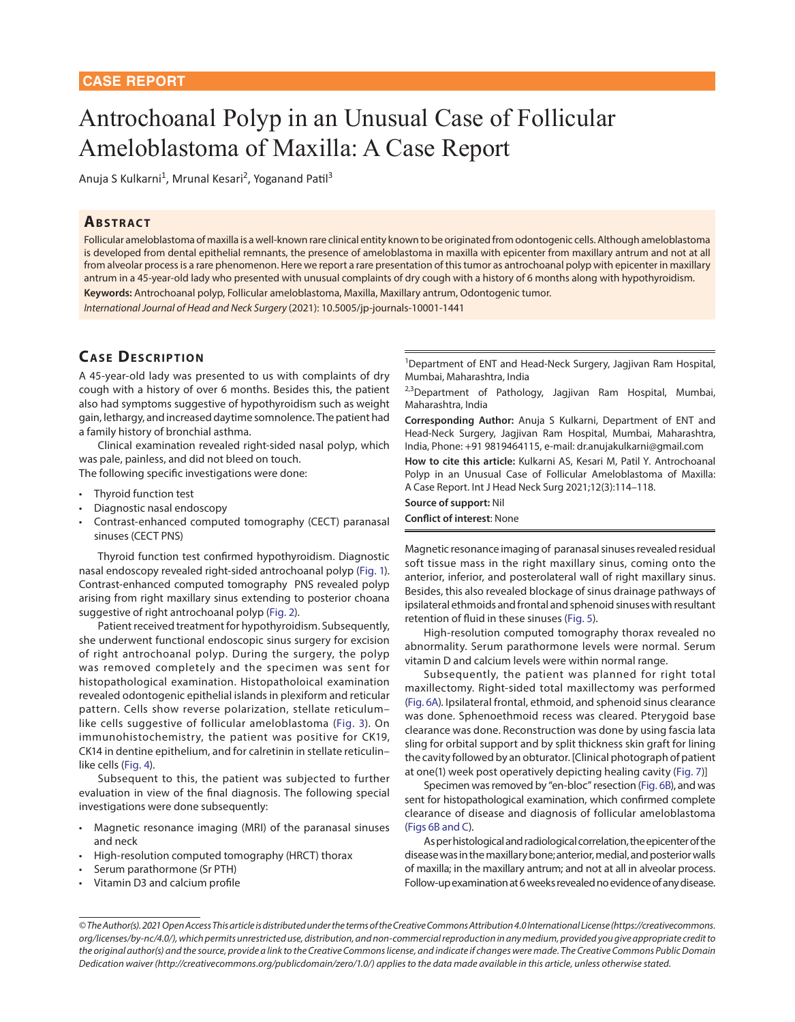# Antrochoanal Polyp in an Unusual Case of Follicular Ameloblastoma of Maxilla: A Case Report

Anuja S Kulkarni<sup>1</sup>, Mrunal Kesari<sup>2</sup>, Yoganand Patil<sup>3</sup>

#### **Ab s t r act**

Follicular ameloblastoma of maxilla is a well-known rare clinical entity known to be originated from odontogenic cells. Although ameloblastoma is developed from dental epithelial remnants, the presence of ameloblastoma in maxilla with epicenter from maxillary antrum and not at all from alveolar process is a rare phenomenon. Here we report a rare presentation of this tumor as antrochoanal polyp with epicenter in maxillary antrum in a 45-year-old lady who presented with unusual complaints of dry cough with a history of 6 months along with hypothyroidism.

**Keywords:** Antrochoanal polyp, Follicular ameloblastoma, Maxilla, Maxillary antrum, Odontogenic tumor.

*International Journal of Head and Neck Surgery* (2021): 10.5005/jp-journals-10001-1441

## **CASE DESCRIPTION**

A 45-year-old lady was presented to us with complaints of dry cough with a history of over 6 months. Besides this, the patient also had symptoms suggestive of hypothyroidism such as weight gain, lethargy, and increased daytime somnolence. The patient had a family history of bronchial asthma.

Clinical examination revealed right-sided nasal polyp, which was pale, painless, and did not bleed on touch.

The following specific investigations were done:

- Thyroid function test
- Diagnostic nasal endoscopy
- Contrast-enhanced computed tomography (CECT) paranasal sinuses (CECT PNS)

Thyroid function test confirmed hypothyroidism. Diagnostic nasal endoscopy revealed right-sided antrochoanal polyp ([Fig. 1](#page-1-0)). Contrast-enhanced computed tomography PNS revealed polyp arising from right maxillary sinus extending to posterior choana suggestive of right antrochoanal polyp [\(Fig. 2](#page-1-1)).

Patient received treatment for hypothyroidism. Subsequently, she underwent functional endoscopic sinus surgery for excision of right antrochoanal polyp. During the surgery, the polyp was removed completely and the specimen was sent for histopathological examination. Histopatholoical examination revealed odontogenic epithelial islands in plexiform and reticular pattern. Cells show reverse polarization, stellate reticulum– like cells suggestive of follicular ameloblastoma [\(Fig. 3\)](#page-2-0). On immunohistochemistry, the patient was positive for CK19, CK14 in dentine epithelium, and for calretinin in stellate reticulin– like cells [\(Fig. 4](#page-3-1)).

<span id="page-0-3"></span>Subsequent to this, the patient was subjected to further evaluation in view of the final diagnosis. The following special investigations were done subsequently:

- Magnetic resonance imaging (MRI) of the paranasal sinuses and neck
- High-resolution computed tomography (HRCT) thorax
- Serum parathormone (Sr PTH)
- Vitamin D3 and calcium profile

<sup>1</sup>Department of ENT and Head-Neck Surgery, Jagjivan Ram Hospital, Mumbai, Maharashtra, India

<sup>2,3</sup>Department of Pathology, Jagjivan Ram Hospital, Mumbai, Maharashtra, India

**Corresponding Author:** Anuja S Kulkarni, Department of ENT and Head-Neck Surgery, Jagjivan Ram Hospital, Mumbai, Maharashtra, India, Phone: +91 9819464115, e-mail: dr.anujakulkarni@gmail.com

**How to cite this article:** Kulkarni AS, Kesari M, Patil Y*.* Antrochoanal Polyp in an Unusual Case of Follicular Ameloblastoma of Maxilla: A Case Report. Int J Head Neck Surg 2021;12(3):114–118.

**Source of support:** Nil **Conflict of interest**: None

<span id="page-0-0"></span>Magnetic resonance imaging of paranasal sinuses revealed residual soft tissue mass in the right maxillary sinus, coming onto the anterior, inferior, and posterolateral wall of right maxillary sinus. Besides, this also revealed blockage of sinus drainage pathways of ipsilateral ethmoids and frontal and sphenoid sinuses with resultant retention of fluid in these sinuses [\(Fig. 5](#page-3-0)).

<span id="page-0-4"></span><span id="page-0-1"></span>High-resolution computed tomography thorax revealed no abnormality. Serum parathormone levels were normal. Serum vitamin D and calcium levels were within normal range.

<span id="page-0-2"></span>Subsequently, the patient was planned for right total maxillectomy. Right-sided total maxillectomy was performed [\(Fig. 6A\)](#page-4-0). Ipsilateral frontal, ethmoid, and sphenoid sinus clearance was done. Sphenoethmoid recess was cleared. Pterygoid base clearance was done. Reconstruction was done by using fascia lata sling for orbital support and by split thickness skin graft for lining the cavity followed by an obturator. [Clinical photograph of patient at one(1) week post operatively depicting healing cavity [\(Fig. 7](#page-4-1))]

<span id="page-0-6"></span><span id="page-0-5"></span>Specimen was removed by "en-bloc" resection ([Fig. 6B](#page-4-0)), and was sent for histopathological examination, which confirmed complete clearance of disease and diagnosis of follicular ameloblastoma [\(Figs 6B and C\)](#page-4-0).

As per histological and radiological correlation, the epicenter of the disease was in the maxillary bone; anterior, medial, and posterior walls of maxilla; in the maxillary antrum; and not at all in alveolar process. Follow-up examination at 6 weeks revealed no evidence of any disease.

*<sup>©</sup> The Author(s). 2021 Open Access This article is distributed under the terms of the Creative Commons Attribution 4.0 International License (https://creativecommons. org/licenses/by-nc/4.0/), which permits unrestricted use, distribution, and non-commercial reproduction in any medium, provided you give appropriate credit to the original author(s) and the source, provide a link to the Creative Commons license, and indicate if changes were made. The Creative Commons Public Domain Dedication waiver (http://creativecommons.org/publicdomain/zero/1.0/) applies to the data made available in this article, unless otherwise stated.*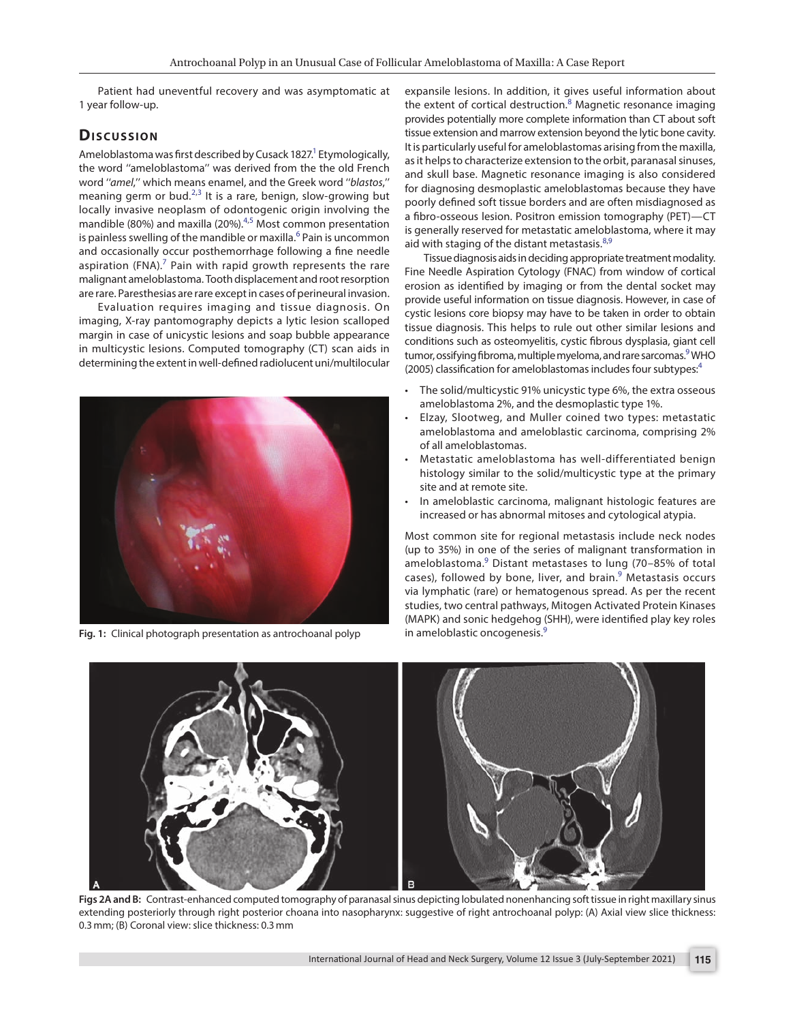Patient had uneventful recovery and was asymptomatic at 1 year follow-up.

### Discussion

Ameloblastoma was first described by Cusack 1827.<sup>1</sup> Etymologically, the word ''ameloblastoma'' was derived from the the old French word ''*amel*,'' which means enamel, and the Greek word ''*blastos*,'' meaning germ or bud.<sup>2,[3](#page-4-4)</sup> It is a rare, benign, slow-growing but locally invasive neoplasm of odontogenic origin involving the mandible (80%) and maxilla (20%).<sup>4,[5](#page-4-5)</sup> Most common presentation is painless swelling of the mandible or maxilla.<sup>6</sup> Pain is uncommon and occasionally occur posthemorrhage following a fine needle aspiration (FNA). $<sup>7</sup>$  $<sup>7</sup>$  $<sup>7</sup>$  Pain with rapid growth represents the rare</sup> malignant ameloblastoma. Tooth displacement and root resorption are rare. Paresthesias are rare except in cases of perineural invasion.

Evaluation requires imaging and tissue diagnosis. On imaging, X-ray pantomography depicts a lytic lesion scalloped margin in case of unicystic lesions and soap bubble appearance in multicystic lesions. Computed tomography (CT) scan aids in determining the extent in well-defined radiolucent uni/multilocular



**[Fig. 1:](#page-0-0)** Clinical photograph presentation as antrochoanal polyp

<span id="page-1-5"></span>expansile lesions. In addition, it gives useful information about the extent of cortical destruction.<sup>[8](#page-4-2)</sup> Magnetic resonance imaging provides potentially more complete information than CT about soft tissue extension and marrow extension beyond the lytic bone cavity. It is particularly useful for ameloblastomas arising from the maxilla, as it helps to characterize extension to the orbit, paranasal sinuses, and skull base. Magnetic resonance imaging is also considered for diagnosing desmoplastic ameloblastomas because they have poorly defined soft tissue borders and are often misdiagnosed as a fibro-osseous lesion. Positron emission tomography (PET)—CT is generally reserved for metastatic ameloblastoma, where it may aid with staging of the distant metastasis.  $8,9$  $8,9$  $8,9$ 

<span id="page-1-6"></span><span id="page-1-4"></span><span id="page-1-3"></span><span id="page-1-2"></span>Tissue diagnosis aids in deciding appropriate treatment modality. Fine Needle Aspiration Cytology (FNAC) from window of cortical erosion as identified by imaging or from the dental socket may provide useful information on tissue diagnosis. However, in case of cystic lesions core biopsy may have to be taken in order to obtain tissue diagnosis. This helps to rule out other similar lesions and conditions such as osteomyelitis, cystic fibrous dysplasia, giant cell tumor, ossifying fibroma, multiple myeloma, and rare sarcomas.<sup>9</sup> WHO (2005) classification for ameloblastomas includes four subtypes:<sup>4</sup>

- The solid/multicystic 91% unicystic type 6%, the extra osseous ameloblastoma 2%, and the desmoplastic type 1%.
- Elzay, Slootweg, and Muller coined two types: metastatic ameloblastoma and ameloblastic carcinoma, comprising 2% of all ameloblastomas.
- Metastatic ameloblastoma has well-differentiated benign histology similar to the solid/multicystic type at the primary site and at remote site.
- In ameloblastic carcinoma, malignant histologic features are increased or has abnormal mitoses and cytological atypia.

Most common site for regional metastasis include neck nodes (up to 35%) in one of the series of malignant transformation in ameloblastoma.<sup>[9](#page-4-3)</sup> Distant metastases to lung (70-85% of total cases), followed by bone, liver, and brain.<sup>[9](#page-4-3)</sup> Metastasis occurs via lymphatic (rare) or hematogenous spread. As per the recent studies, two central pathways, Mitogen Activated Protein Kinases (MAPK) and sonic hedgehog (SHH), were identified play key roles in ameloblastic oncogenesis.<sup>9</sup>

<span id="page-1-1"></span><span id="page-1-0"></span>

**[Figs 2A and B:](#page-0-1)** Contrast-enhanced computed tomography of paranasal sinus depicting lobulated nonenhancing soft tissue in right maxillary sinus extending posteriorly through right posterior choana into nasopharynx: suggestive of right antrochoanal polyp: (A) Axial view slice thickness: 0.3mm; (B) Coronal view: slice thickness: 0.3mm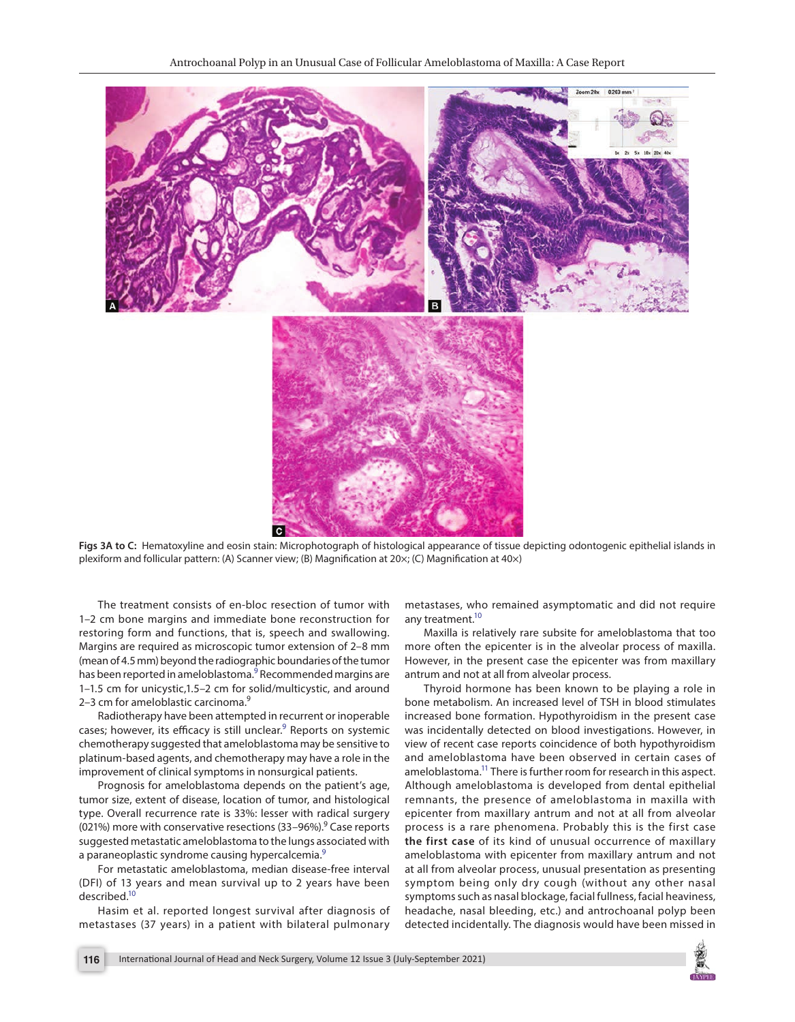

<span id="page-2-0"></span>**[Figs 3A to C:](#page-0-2)** Hematoxyline and eosin stain: Microphotograph of histological appearance of tissue depicting odontogenic epithelial islands in plexiform and follicular pattern: (A) Scanner view; (B) Magnification at 20×; (C) Magnification at 40×)

The treatment consists of en-bloc resection of tumor with 1–2 cm bone margins and immediate bone reconstruction for restoring form and functions, that is, speech and swallowing. Margins are required as microscopic tumor extension of 2–8 mm (mean of 4.5 mm) beyond the radiographic boundaries of the tumor has been reported in ameloblastoma.<sup>9</sup> Recommended margins are 1–1.5 cm for unicystic,1.5–2 cm for solid/multicystic, and around 2–3 cm for ameloblastic carcinoma.<sup>9</sup>

Radiotherapy have been attempted in recurrent or inoperable cases; however, its efficacy is still unclear.<sup>[9](#page-4-3)</sup> Reports on systemic chemotherapy suggested that ameloblastoma may be sensitive to platinum-based agents, and chemotherapy may have a role in the improvement of clinical symptoms in nonsurgical patients.

Prognosis for ameloblastoma depends on the patient's age, tumor size, extent of disease, location of tumor, and histological type. Overall recurrence rate is 33%: lesser with radical surgery (021%) more with conservative resections (33-96%).<sup>9</sup> Case reports suggested metastatic ameloblastoma to the lungs associated with a paraneoplastic syndrome causing hypercalcemia.<sup>9</sup>

For metastatic ameloblastoma, median disease-free interval (DFI) of 13 years and mean survival up to 2 years have been described[.10](#page-4-7)

<span id="page-2-1"></span>Hasim et al. reported longest survival after diagnosis of metastases (37 years) in a patient with bilateral pulmonary metastases, who remained asymptomatic and did not require any treatment.<sup>10</sup>

Maxilla is relatively rare subsite for ameloblastoma that too more often the epicenter is in the alveolar process of maxilla. However, in the present case the epicenter was from maxillary antrum and not at all from alveolar process.

<span id="page-2-2"></span>Thyroid hormone has been known to be playing a role in bone metabolism. An increased level of TSH in blood stimulates increased bone formation. Hypothyroidism in the present case was incidentally detected on blood investigations. However, in view of recent case reports coincidence of both hypothyroidism and ameloblastoma have been observed in certain cases of ameloblastoma.<sup>11</sup> There is further room for research in this aspect. Although ameloblastoma is developed from dental epithelial remnants, the presence of ameloblastoma in maxilla with epicenter from maxillary antrum and not at all from alveolar process is a rare phenomena. Probably this is the first case **the first case** of its kind of unusual occurrence of maxillary ameloblastoma with epicenter from maxillary antrum and not at all from alveolar process, unusual presentation as presenting symptom being only dry cough (without any other nasal symptoms such as nasal blockage, facial fullness, facial heaviness, headache, nasal bleeding, etc.) and antrochoanal polyp been detected incidentally. The diagnosis would have been missed in

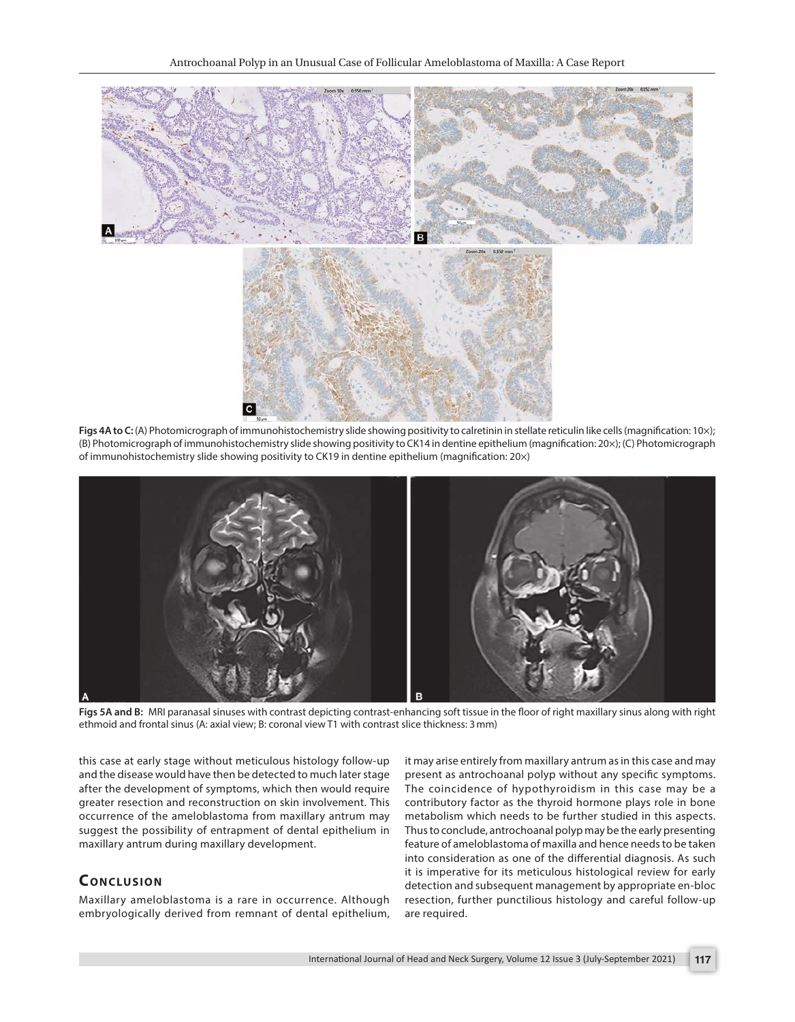

<span id="page-3-1"></span>[Figs 4A to C:](#page-0-3) (A) Photomicrograph of immunohistochemistry slide showing positivity to calretinin in stellate reticulin like cells (magnification: 10×); (B) Photomicrograph of immunohistochemistry slide showing positivity to CK14 in dentine epithelium (magnification: 20×); (C) Photomicrograph of immunohistochemistry slide showing positivity to CK19 in dentine epithelium (magnification: 20×)



**[Figs 5A and B:](#page-0-4)** MRI paranasal sinuses with contrast depicting contrast-enhancing soft tissue in the floor of right maxillary sinus along with right ethmoid and frontal sinus (A: axial view; B: coronal view T1 with contrast slice thickness: 3mm)

<span id="page-3-0"></span>this case at early stage without meticulous histology follow-up and the disease would have then be detected to much later stage after the development of symptoms, which then would require greater resection and reconstruction on skin involvement. This occurrence of the ameloblastoma from maxillary antrum may suggest the possibility of entrapment of dental epithelium in maxillary antrum during maxillary development.

#### **CONCLUSION**

Maxillary ameloblastoma is a rare in occurrence. Although embryologically derived from remnant of dental epithelium, it may arise entirely from maxillary antrum as in this case and may present as antrochoanal polyp without any specific symptoms. The coincidence of hypothyroidism in this case may be a contributory factor as the thyroid hormone plays role in bone metabolism which needs to be further studied in this aspects. Thus to conclude, antrochoanal polyp may be the early presenting feature of ameloblastoma of maxilla and hence needs to be taken into consideration as one of the differential diagnosis. As such it is imperative for its meticulous histological review for early detection and subsequent management by appropriate en-bloc resection, further punctilious histology and careful follow-up are required.